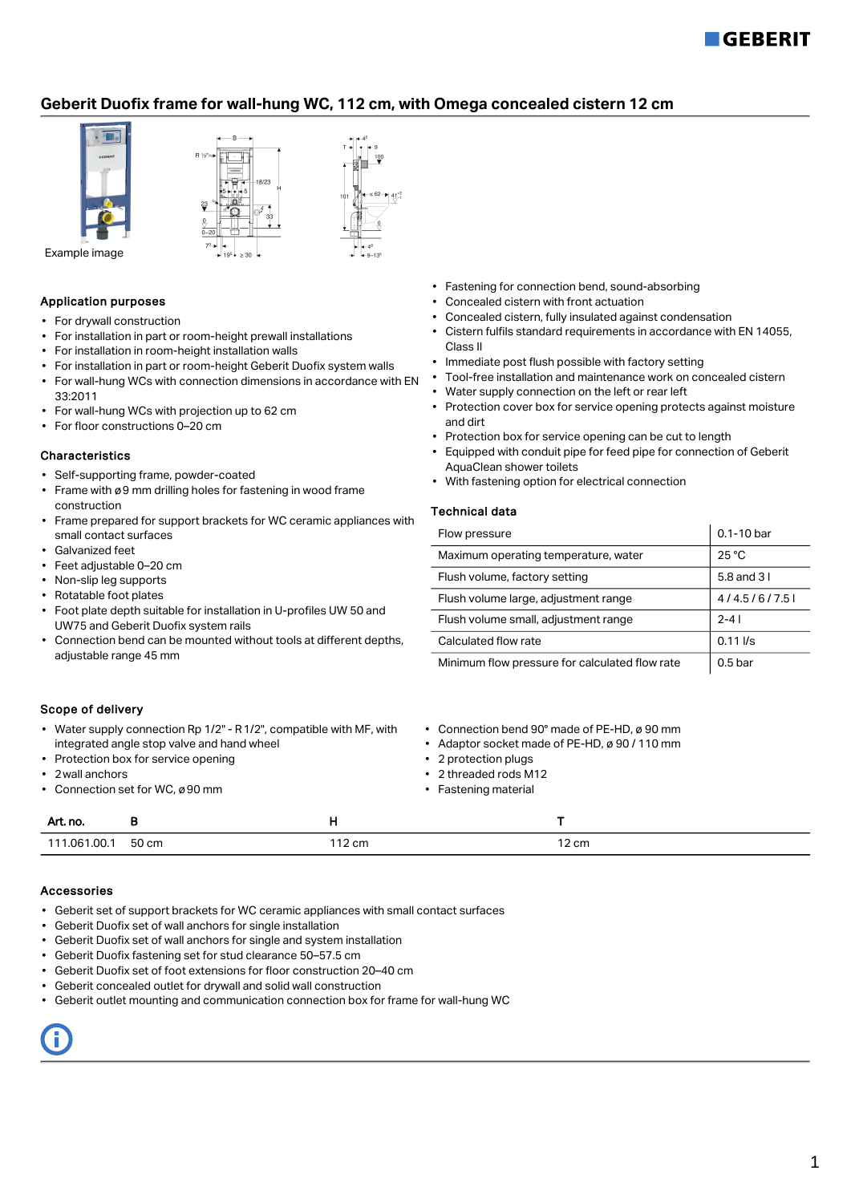

# **Geberit Duofix frame for wall-hung WC, 112 cm, with Omega concealed cistern 12 cm**



## Application purposes

- For drywall construction
- For installation in part or room-height prewall installations
- For installation in room-height installation walls
- For installation in part or room-height Geberit Duofix system walls
- For wall-hung WCs with connection dimensions in accordance with EN 33:2011
- For wall-hung WCs with projection up to 62 cm
- For floor constructions 0–20 cm

#### Characteristics

- Self-supporting frame, powder-coated
- Frame with ø9 mm drilling holes for fastening in wood frame construction
- Frame prepared for support brackets for WC ceramic appliances with small contact surfaces
- Galvanized feet
- Feet adjustable 0–20 cm
- Non-slip leg supports
- Rotatable foot plates
- Foot plate depth suitable for installation in U-profiles UW 50 and UW75 and Geberit Duofix system rails
- Connection bend can be mounted without tools at different depths, adjustable range 45 mm
- Fastening for connection bend, sound-absorbing
- Concealed cistern with front actuation
- Concealed cistern, fully insulated against condensation
- Cistern fulfils standard requirements in accordance with EN 14055, Class II
- Immediate post flush possible with factory setting
- Tool-free installation and maintenance work on concealed cistern
- Water supply connection on the left or rear left
- Protection cover box for service opening protects against moisture and dirt
- Protection box for service opening can be cut to length
- Equipped with conduit pipe for feed pipe for connection of Geberit AquaClean shower toilets
- With fastening option for electrical connection

### Technical data

| Flow pressure                                          | $0.1 - 10$ bar |
|--------------------------------------------------------|----------------|
| $25^{\circ}$ C<br>Maximum operating temperature, water |                |
| Flush volume, factory setting                          | 5.8 and 3 l    |
| 4/4.5/6/7.5<br>Flush volume large, adjustment range    |                |
| Flush volume small, adjustment range                   | $2 - 41$       |
| Calculated flow rate<br>$0.11$ $\sqrt{s}$              |                |
| Minimum flow pressure for calculated flow rate         | $0.5$ bar      |

#### Scope of delivery

- Water supply connection Rp 1/2" R1/2", compatible with MF, with integrated angle stop valve and hand wheel
- Protection box for service opening
- 2wall anchors
- Connection set for WC, ø90 mm
- Connection bend 90° made of PE-HD, ø 90 mm
- Adaptor socket made of PE-HD, ø 90 / 110 mm
- 2 protection plugs
- 2 threaded rods M12
- Fastening material

| Art. no.     |       |       |                 |
|--------------|-------|-------|-----------------|
| 111.061.00.1 | 50 cm | 12 cm | $12 \text{ cm}$ |

#### Accessories

- Geberit set of support brackets for WC ceramic appliances with small contact surfaces
- Geberit Duofix set of wall anchors for single installation
- Geberit Duofix set of wall anchors for single and system installation
- Geberit Duofix fastening set for stud clearance 50–57.5 cm
- Geberit Duofix set of foot extensions for floor construction 20–40 cm
- Geberit concealed outlet for drywall and solid wall construction
- Geberit outlet mounting and communication connection box for frame for wall-hung WC